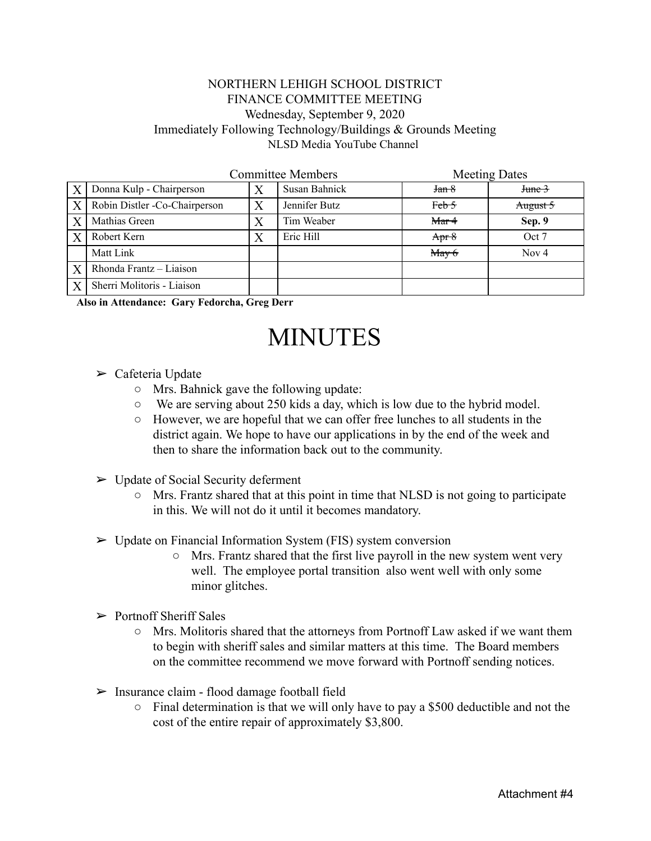## NORTHERN LEHIGH SCHOOL DISTRICT FINANCE COMMITTEE MEETING Wednesday, September 9, 2020 Immediately Following Technology/Buildings & Grounds Meeting NLSD Media YouTube Channel

|                  | <b>Committee Members</b>      |                  |               | <b>Meeting Dates</b> |              |
|------------------|-------------------------------|------------------|---------------|----------------------|--------------|
| $\boldsymbol{X}$ | Donna Kulp - Chairperson      |                  | Susan Bahnick | Jan 8                | $J$ tune $3$ |
| X                | Robin Distler -Co-Chairperson | $\boldsymbol{X}$ | Jennifer Butz | Feb 5                | August 5     |
| X                | Mathias Green                 | X                | Tim Weaber    | Mar <sub>4</sub>     | Sep. 9       |
| $\boldsymbol{X}$ | Robert Kern                   | Χ                | Eric Hill     | Apr $8$              | Oct 7        |
|                  | Matt Link                     |                  |               | $M$ ay 6             | Nov $4$      |
| $\mathbf{X}$     | Rhonda Frantz - Liaison       |                  |               |                      |              |
| X                | Sherri Molitoris - Liaison    |                  |               |                      |              |

**Also in Attendance: Gary Fedorcha, Greg Derr**

## MINUTES

- $\triangleright$  Cafeteria Update
	- Mrs. Bahnick gave the following update:
	- We are serving about 250 kids a day, which is low due to the hybrid model.
	- However, we are hopeful that we can offer free lunches to all students in the district again. We hope to have our applications in by the end of the week and then to share the information back out to the community.
- $\triangleright$  Update of Social Security deferment
	- Mrs. Frantz shared that at this point in time that NLSD is not going to participate in this. We will not do it until it becomes mandatory.
- ➢ Update on Financial Information System (FIS) system conversion
	- Mrs. Frantz shared that the first live payroll in the new system went very well. The employee portal transition also went well with only some minor glitches.
- $\triangleright$  Portnoff Sheriff Sales
	- $\circ$  Mrs. Molitoris shared that the attorneys from Portnoff Law asked if we want them to begin with sheriff sales and similar matters at this time. The Board members on the committee recommend we move forward with Portnoff sending notices.
- $\triangleright$  Insurance claim flood damage football field
	- $\circ$  Final determination is that we will only have to pay a \$500 deductible and not the cost of the entire repair of approximately \$3,800.